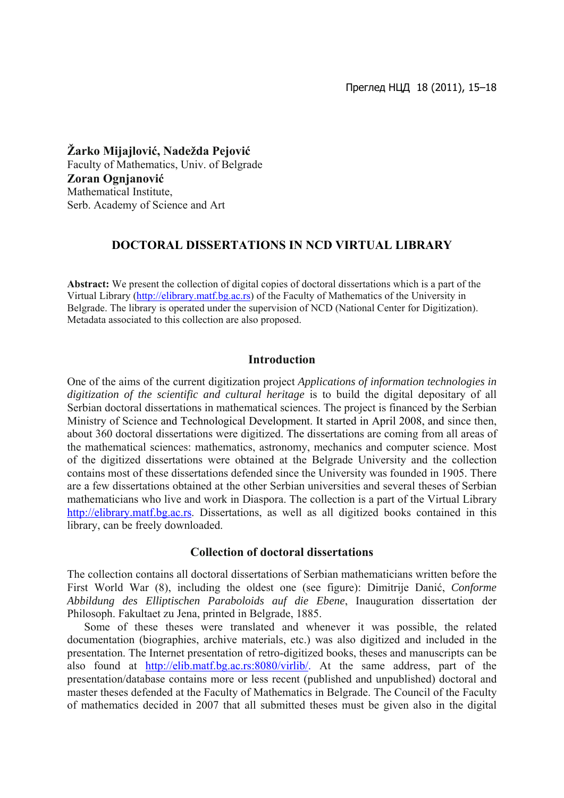**Žarko Mijajlović, Nadežda Pejović** Faculty of Mathematics, Univ. of Belgrade **Zoran Ognjanović** Mathematical Institute, Serb. Academy of Science and Art

### **DOCTORAL DISSERTATIONS IN NCD VIRTUAL LIBRARY**

**Abstract:** We present the collection of digital copies of doctoral dissertations which is a part of the Virtual Library [\(http://elibrary.matf.bg.ac.rs\)](http://elibrary.matf.bg.ac.rs/) of the Faculty of Mathematics of the University in Belgrade. The library is operated under the supervision of NCD (National Center for Digitization). Metadata associated to this collection are also proposed.

### **Introduction**

One of the aims of the current digitization project *Applications of information technologies in digitization of the scientific and cultural heritage* is to build the digital depositary of all Serbian doctoral dissertations in mathematical sciences. The project is financed by the Serbian Ministry of Science and Technological Development. It started in April 2008, and since then, about 360 doctoral dissertations were digitized. The dissertations are coming from all areas of the mathematical sciences: mathematics, astronomy, mechanics and computer science. Most of the digitized dissertations were obtained at the Belgrade University and the collection contains most of these dissertations defended since the University was founded in 1905. There are a few dissertations obtained at the other Serbian universities and several theses of Serbian mathematicians who live and work in Diaspora. The collection is a part of the Virtual Library [http://elibrary.matf.bg.ac.rs](http://elibrary.matf.bg.ac.rs/). Dissertations, as well as all digitized books contained in this library, can be freely downloaded.

#### **Collection of doctoral dissertations**

The collection contains all doctoral dissertations of Serbian mathematicians written before the First World War (8), including the oldest one (see figure): Dimitrije Danić, *Conforme Abbildung des Elliptischen Paraboloids auf die Ebene*, Inauguration dissertation der Philosoph. Fakultaet zu Jena, printed in Belgrade, 1885.

Some of these theses were translated and whenever it was possible, the related documentation (biographies, archive materials, etc.) was also digitized and included in the presentation. The Internet presentation of retro-digitized books, theses and manuscripts can be also found at [http://elib.matf.bg.ac.rs:8080/virlib/.](http://elib.matf.bg.ac.rs:8080/virlib/) At the same address, part of the presentation/database contains more or less recent (published and unpublished) doctoral and master theses defended at the Faculty of Mathematics in Belgrade. The Council of the Faculty of mathematics decided in 2007 that all submitted theses must be given also in the digital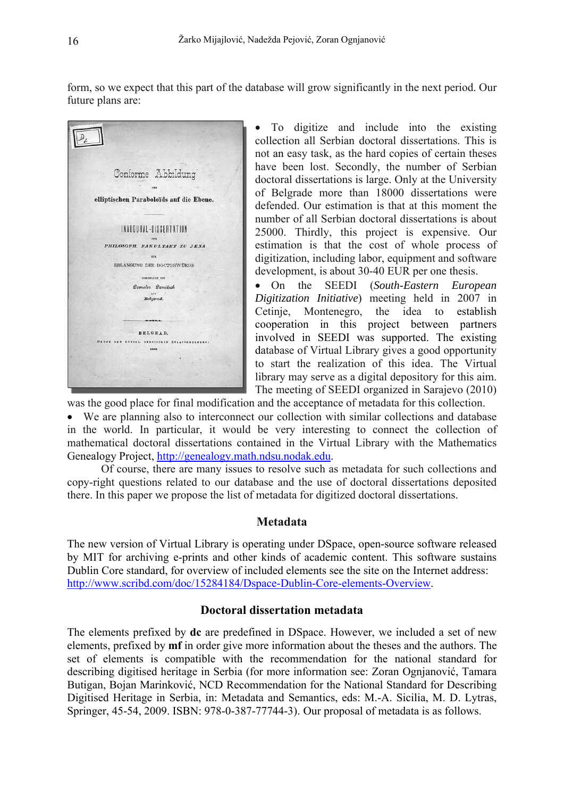form, so we expect that this part of the database will grow significantly in the next period. Our future plans are:

| Conforme Abbildung                                     |
|--------------------------------------------------------|
| DES<br>elliptischen Paraboloïds auf die Ebene.         |
| INAUGURAL-DISSERTATION                                 |
| PHILOSOPH. FAKULTAET ZU JENA<br><b>EUR</b>             |
| ERLANGUNG DER DOCTORWÜRDE                              |
| VORGELEGT VON<br>Demeter Danitsch                      |
| AUS<br>Belgrad.                                        |
|                                                        |
| <b>BELGRAD.</b>                                        |
| DRUCK DER KÖNIGL<br>SERBISCHEN STAATSDRUCKTREI<br>1000 |
|                                                        |
|                                                        |

• To digitize and include into the existing collection all Serbian doctoral dissertations. This is not an easy task, as the hard copies of certain theses have been lost. Secondly, the number of Serbian doctoral dissertations is large. Only at the University of Belgrade more than 18000 dissertations were defended. Our estimation is that at this moment the number of all Serbian doctoral dissertations is about 25000. Thirdly, this project is expensive. Our estimation is that the cost of whole process of digitization, including labor, equipment and software development, is about 30-40 EUR per one thesis.

• On the SEEDI (*South*-*Eastern European Digitization Initiative*[\) meeting held in 2007 in](http://seedi.ncd.org.rs/)  [Cetinje, Montenegro, the idea to establish](http://seedi.ncd.org.rs/)  [cooperation in this project between partners](http://seedi.ncd.org.rs/)  [involved in SEEDI was supported. The existing](http://seedi.ncd.org.rs/)  [database of Virtual Library gives a good opportunity](http://seedi.ncd.org.rs/)  [to start the realization of this idea. The Virtual](http://seedi.ncd.org.rs/)  [library may serve as a digital depository for this aim.](http://seedi.ncd.org.rs/)  [The meeting of SEEDI organized in Sarajevo \(2010\)](http://seedi.ncd.org.rs/) 

[was the good place for final modification and the acceptance of metadata for this collection.](http://seedi.ncd.org.rs/) 

• [We are planning also to interconnect our collection with sim](http://seedi.ncd.org.rs/)ilar collections and database in the world. In particular, it would be very interesting to connect the collection of mathematical doctoral dissertations contained in the Virtual Library with the Mathematics Genealogy Project, [http://genealogy.math.ndsu.nodak.edu](http://genealogy.math.ndsu.nodak.edu/).

 Of course, there are many issues to resolve such as metadata for such collections and copy-right questions related to our database and the use of doctoral dissertations deposited there. In this paper we propose the list of metadata for digitized doctoral dissertations.

### **Metadata**

The new version of Virtual Library is operating under DSpace, open-source software released by MIT for archiving e-prints and other kinds of academic content. This software sustains Dublin Core standard, for overview of included elements see the site on the Internet address: http://www.scribd.com/doc/15284184/Dspace-Dublin-Core-elements-Overview.

### **Doctoral dissertation metadata**

The elements prefixed by dc are predefined in DSpace. However, we included a set of new Springer, 45-54, 2009. ISBN: 978-0-387-77744-3). Our proposal of metadata is as follows. elements, prefixed by **mf** in order give more information about the theses and the authors. The set of elements is compatible with the recommendation for the national standard for describing digitised heritage in Serbia (for more information see: Zoran Ognjanović, Tamara Butigan, Bojan Marinković, NCD Recommendation for the National Standard for Describing Digitised Heritage in Serbia, in: Metadata and Semantics, eds: M.-A. Sicilia, M. D. Lytras,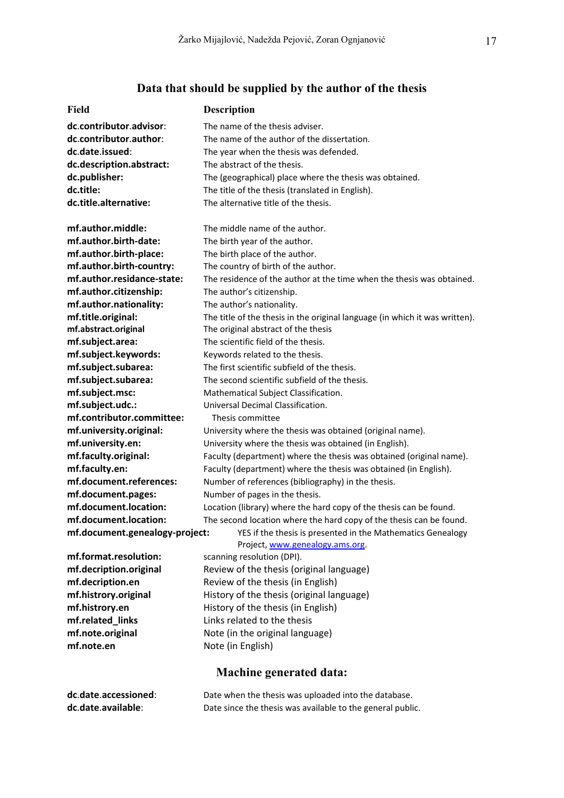# **Data that should be supplied by the author of the thesis**

| Field                          | <b>Description</b>                                                                             |  |  |
|--------------------------------|------------------------------------------------------------------------------------------------|--|--|
| dc.contributor.advisor:        | The name of the thesis adviser.                                                                |  |  |
| dc.contributor.author:         | The name of the author of the dissertation.                                                    |  |  |
| dc.date.issued:                | The year when the thesis was defended.                                                         |  |  |
| dc.description.abstract:       | The abstract of the thesis.                                                                    |  |  |
| dc.publisher:                  | The (geographical) place where the thesis was obtained.                                        |  |  |
| dc.title:                      | The title of the thesis (translated in English).                                               |  |  |
| dc.title.alternative:          | The alternative title of the thesis.                                                           |  |  |
| mf.author.middle:              | The middle name of the author.                                                                 |  |  |
| mf.author.birth-date:          | The birth year of the author.                                                                  |  |  |
| mf.author.birth-place:         | The birth place of the author.                                                                 |  |  |
| mf.author.birth-country:       | The country of birth of the author.                                                            |  |  |
| mf.author.residance-state:     | The residence of the author at the time when the thesis was obtained.                          |  |  |
| mf.author.citizenship:         | The author's citizenship.                                                                      |  |  |
| mf.author.nationality:         | The author's nationality.                                                                      |  |  |
| mf.title.original:             | The title of the thesis in the original language (in which it was written).                    |  |  |
| mf.abstract.original           | The original abstract of the thesis                                                            |  |  |
| mf.subject.area:               | The scientific field of the thesis.                                                            |  |  |
| mf.subject.keywords:           | Keywords related to the thesis.                                                                |  |  |
| mf.subject.subarea:            | The first scientific subfield of the thesis.                                                   |  |  |
| mf.subject.subarea:            | The second scientific subfield of the thesis.                                                  |  |  |
| mf.subject.msc:                | Mathematical Subject Classification.                                                           |  |  |
| mf.subject.udc.:               | Universal Decimal Classification.                                                              |  |  |
| mf.contributor.committee:      | Thesis committee                                                                               |  |  |
| mf.university.original:        | University where the thesis was obtained (original name).                                      |  |  |
| mf.university.en:              | University where the thesis was obtained (in English).                                         |  |  |
| mf.faculty.original:           | Faculty (department) where the thesis was obtained (original name).                            |  |  |
| mf.faculty.en:                 | Faculty (department) where the thesis was obtained (in English).                               |  |  |
| mf.document.references:        | Number of references (bibliography) in the thesis.                                             |  |  |
| mf.document.pages:             | Number of pages in the thesis.                                                                 |  |  |
| mf.document.location:          | Location (library) where the hard copy of the thesis can be found.                             |  |  |
| mf.document.location:          | The second location where the hard copy of the thesis can be found.                            |  |  |
| mf.document.genealogy-project: | YES if the thesis is presented in the Mathematics Genealogy<br>Project, www.genealogy.ams.org. |  |  |
| mf.format.resolution:          | scanning resolution (DPI).                                                                     |  |  |
| mf.decription.original         | Review of the thesis (original language)                                                       |  |  |
| mf.decription.en               | Review of the thesis (in English)                                                              |  |  |
| mf.histrory.original           | History of the thesis (original language)                                                      |  |  |
| mf.histrory.en                 | History of the thesis (in English)                                                             |  |  |
| mf.related_links               | Links related to the thesis                                                                    |  |  |
| mf.note.original               | Note (in the original language)                                                                |  |  |
| mf.note.en                     | Note (in English)                                                                              |  |  |
| <b>Machine generated data:</b> |                                                                                                |  |  |
| dc.date.accessioned:           | Date when the thesis was uploaded into the database.                                           |  |  |

**dc.date.available:** Date since the thesis was available to the general public.